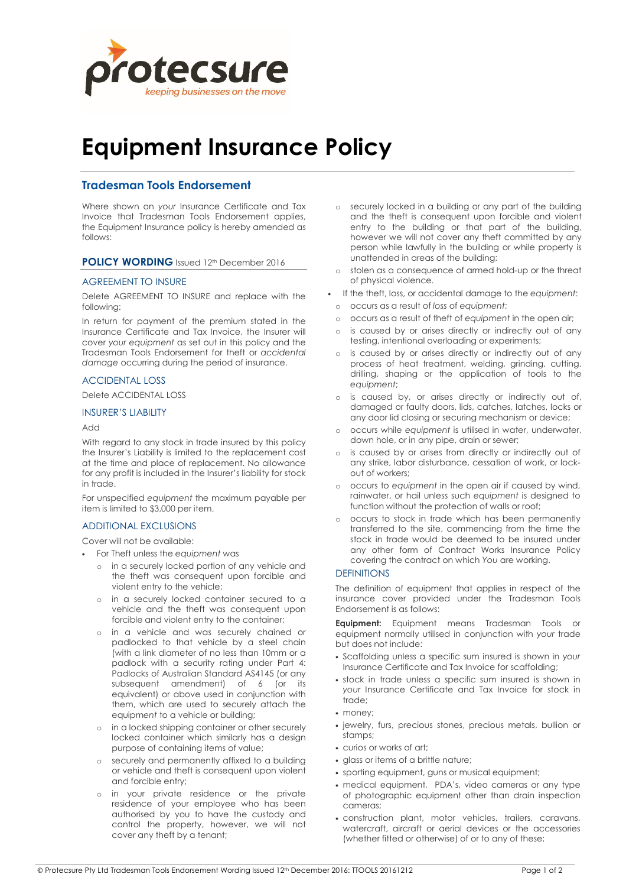

# Equipment Insurance Policy

# Tradesman Tools Endorsement

Where shown on your Insurance Certificate and Tax Invoice that Tradesman Tools Endorsement applies, the Equipment Insurance policy is hereby amended as follows:

# POLICY WORDING Issued 12th December 2016

## AGREEMENT TO INSURE

Delete AGREEMENT TO INSURE and replace with the following:

In return for payment of the premium stated in the Insurance Certificate and Tax Invoice, the Insurer will cover your equipment as set out in this policy and the Tradesman Tools Endorsement for theft or accidental damage occurring during the period of insurance.

# ACCIDENTAL LOSS

Delete ACCIDENTAL LOSS

## INSURER'S LIABILITY

#### Add

With regard to any stock in trade insured by this policy the Insurer's Liability is limited to the replacement cost at the time and place of replacement. No allowance for any profit is included in the Insurer's liability for stock in trade.

For unspecified equipment the maximum payable per item is limited to \$3,000 per item.

## ADDITIONAL EXCLUSIONS

Cover will not be available:

- For Theft unless the equipment was
	- in a securely locked portion of any vehicle and the theft was consequent upon forcible and violent entry to the vehicle;
	- o in a securely locked container secured to a vehicle and the theft was consequent upon forcible and violent entry to the container;
	- o in a vehicle and was securely chained or padlocked to that vehicle by a steel chain (with a link diameter of no less than 10mm or a padlock with a security rating under Part 4: Padlocks of Australian Standard AS4145 (or any subsequent amendment) of 6 (or its equivalent) or above used in conjunction with them, which are used to securely attach the equipment to a vehicle or building;
	- in a locked shipping container or other securely locked container which similarly has a design purpose of containing items of value;
	- o securely and permanently affixed to a building or vehicle and theft is consequent upon violent and forcible entry;
	- o in your private residence or the private residence of your employee who has been authorised by you to have the custody and control the property, however, we will not cover any theft by a tenant;
- o securely locked in a building or any part of the building and the theft is consequent upon forcible and violent entry to the building or that part of the building, however we will not cover any theft committed by any person while lawfully in the building or while property is unattended in areas of the building;
- o stolen as a consequence of armed hold-up or the threat of physical violence.
- If the theft, loss, or accidental damage to the equipment:
- o occurs as a result of loss of equipment;
- o occurs as a result of theft of equipment in the open air;
- o is caused by or arises directly or indirectly out of any testing, intentional overloading or experiments;
- is caused by or arises directly or indirectly out of any process of heat treatment, welding, grinding, cutting, drilling, shaping or the application of tools to the equipment;
- o is caused by, or arises directly or indirectly out of, damaged or faulty doors, lids, catches, latches, locks or any door lid closing or securing mechanism or device;
- occurs while equipment is utilised in water, underwater, down hole, or in any pipe, drain or sewer;
- o is caused by or arises from directly or indirectly out of any strike, labor disturbance, cessation of work, or lockout of workers;
- o occurs to equipment in the open air if caused by wind, rainwater, or hail unless such equipment is designed to function without the protection of walls or roof;
- occurs to stock in trade which has been permanently transferred to the site, commencing from the time the stock in trade would be deemed to be insured under any other form of Contract Works Insurance Policy covering the contract on which You are working.

## **DEFINITIONS**

The definition of equipment that applies in respect of the insurance cover provided under the Tradesman Tools Endorsement is as follows:

**Equipment:** Equipment means Tradesman Tools or equipment normally utilised in conjunction with your trade but does not include:

- Scaffolding unless a specific sum insured is shown in your Insurance Certificate and Tax Invoice for scaffolding;
- stock in trade unless a specific sum insured is shown in your Insurance Certificate and Tax Invoice for stock in trade;
- money;
- jewelry, furs, precious stones, precious metals, bullion or stamps;
- curios or works of art;
- glass or items of a brittle nature;
- sporting equipment, guns or musical equipment;
- medical equipment, PDA's, video cameras or any type of photographic equipment other than drain inspection cameras;
- construction plant, motor vehicles, trailers, caravans, watercraft, aircraft or aerial devices or the accessories (whether fitted or otherwise) of or to any of these;